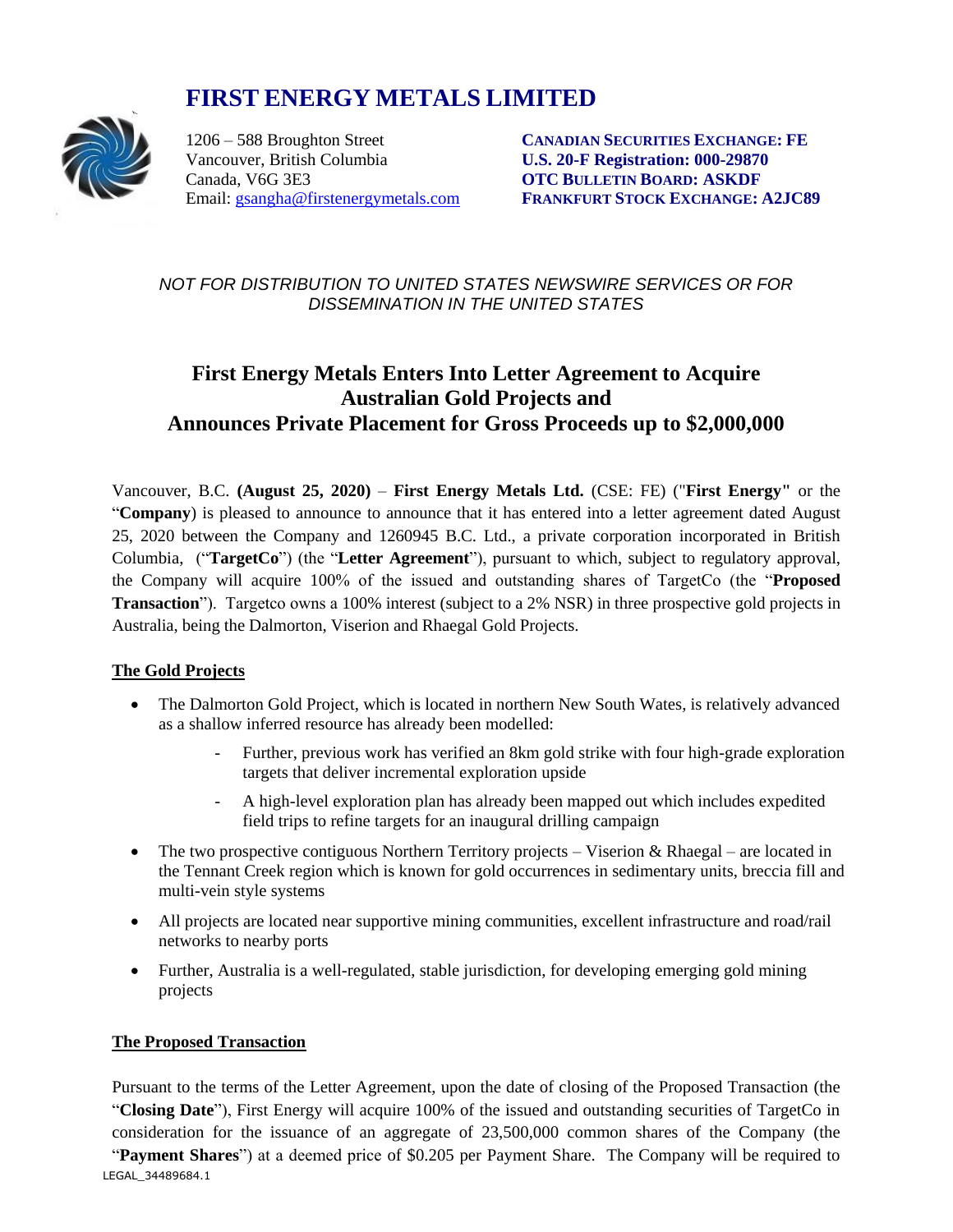# **FIRST ENERGY METALS LIMITED**



Vancouver, British Columbia **U.S. 20-F Registration: 000-29870** Canada, V6G 3E3 **OTC BULLETIN BOARD: ASKDF**

1206 – 588 Broughton Street **CANADIAN SECURITIES EXCHANGE: FE** Email: [gsangha@firstenergymetals.com](mailto:gsangha@firstenergymetals.com) **FRANKFURT STOCK EXCHANGE: A2JC89**

*NOT FOR DISTRIBUTION TO UNITED STATES NEWSWIRE SERVICES OR FOR DISSEMINATION IN THE UNITED STATES*

# **First Energy Metals Enters Into Letter Agreement to Acquire Australian Gold Projects and Announces Private Placement for Gross Proceeds up to \$2,000,000**

Vancouver, B.C. **(August 25, 2020)** – **First Energy Metals Ltd.** (CSE: FE) ("**First Energy"** or the "**Company**) is pleased to announce to announce that it has entered into a letter agreement dated August 25, 2020 between the Company and 1260945 B.C. Ltd., a private corporation incorporated in British Columbia, ("**TargetCo**") (the "**Letter Agreement**"), pursuant to which, subject to regulatory approval, the Company will acquire 100% of the issued and outstanding shares of TargetCo (the "**Proposed Transaction**"). Targetco owns a 100% interest (subject to a 2% NSR) in three prospective gold projects in Australia, being the Dalmorton, Viserion and Rhaegal Gold Projects.

## **The Gold Projects**

- The Dalmorton Gold Project, which is located in northern New South Wates, is relatively advanced as a shallow inferred resource has already been modelled:
	- Further, previous work has verified an 8km gold strike with four high-grade exploration targets that deliver incremental exploration upside
	- A high-level exploration plan has already been mapped out which includes expedited field trips to refine targets for an inaugural drilling campaign
- The two prospective contiguous Northern Territory projects Viserion & Rhaegal are located in the Tennant Creek region which is known for gold occurrences in sedimentary units, breccia fill and multi-vein style systems
- All projects are located near supportive mining communities, excellent infrastructure and road/rail networks to nearby ports
- Further, Australia is a well-regulated, stable jurisdiction, for developing emerging gold mining projects

#### **The Proposed Transaction**

LEGAL\_34489684.1 Pursuant to the terms of the Letter Agreement, upon the date of closing of the Proposed Transaction (the "**Closing Date**"), First Energy will acquire 100% of the issued and outstanding securities of TargetCo in consideration for the issuance of an aggregate of 23,500,000 common shares of the Company (the "**Payment Shares**") at a deemed price of \$0.205 per Payment Share. The Company will be required to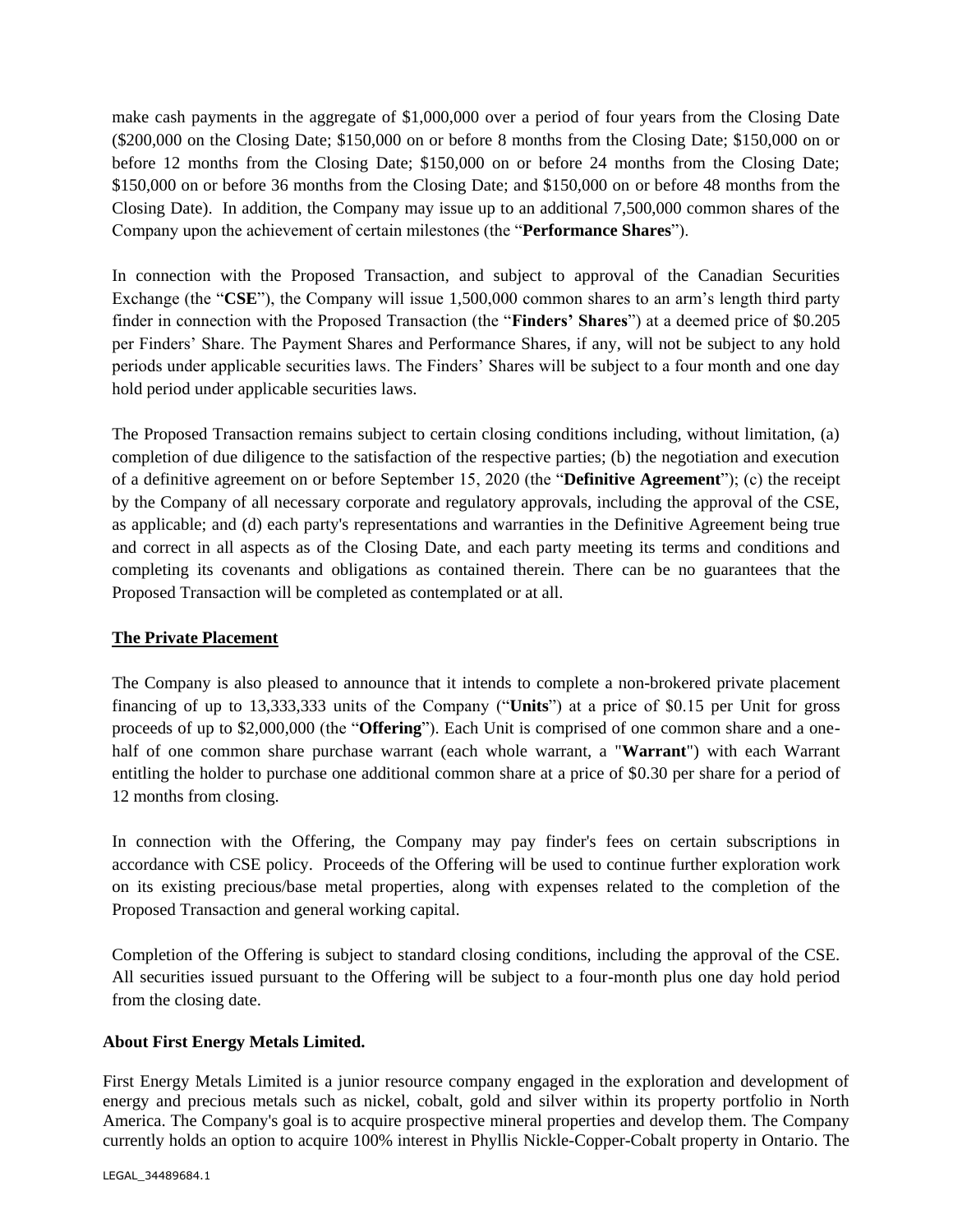make cash payments in the aggregate of \$1,000,000 over a period of four years from the Closing Date (\$200,000 on the Closing Date; \$150,000 on or before 8 months from the Closing Date; \$150,000 on or before 12 months from the Closing Date; \$150,000 on or before 24 months from the Closing Date; \$150,000 on or before 36 months from the Closing Date; and \$150,000 on or before 48 months from the Closing Date). In addition, the Company may issue up to an additional 7,500,000 common shares of the Company upon the achievement of certain milestones (the "**Performance Shares**").

In connection with the Proposed Transaction, and subject to approval of the Canadian Securities Exchange (the "**CSE**"), the Company will issue 1,500,000 common shares to an arm's length third party finder in connection with the Proposed Transaction (the "**Finders' Shares**") at a deemed price of \$0.205 per Finders' Share. The Payment Shares and Performance Shares, if any, will not be subject to any hold periods under applicable securities laws. The Finders' Shares will be subject to a four month and one day hold period under applicable securities laws.

The Proposed Transaction remains subject to certain closing conditions including, without limitation, (a) completion of due diligence to the satisfaction of the respective parties; (b) the negotiation and execution of a definitive agreement on or before September 15, 2020 (the "**Definitive Agreement**"); (c) the receipt by the Company of all necessary corporate and regulatory approvals, including the approval of the CSE, as applicable; and (d) each party's representations and warranties in the Definitive Agreement being true and correct in all aspects as of the Closing Date, and each party meeting its terms and conditions and completing its covenants and obligations as contained therein. There can be no guarantees that the Proposed Transaction will be completed as contemplated or at all.

#### **The Private Placement**

The Company is also pleased to announce that it intends to complete a non-brokered private placement financing of up to 13,333,333 units of the Company ("**Units**") at a price of \$0.15 per Unit for gross proceeds of up to \$2,000,000 (the "**Offering**"). Each Unit is comprised of one common share and a onehalf of one common share purchase warrant (each whole warrant, a "**Warrant**") with each Warrant entitling the holder to purchase one additional common share at a price of \$0.30 per share for a period of 12 months from closing.

In connection with the Offering, the Company may pay finder's fees on certain subscriptions in accordance with CSE policy. Proceeds of the Offering will be used to continue further exploration work on its existing precious/base metal properties, along with expenses related to the completion of the Proposed Transaction and general working capital.

Completion of the Offering is subject to standard closing conditions, including the approval of the CSE. All securities issued pursuant to the Offering will be subject to a four-month plus one day hold period from the closing date.

## **About First Energy Metals Limited.**

First Energy Metals Limited is a junior resource company engaged in the exploration and development of energy and precious metals such as nickel, cobalt, gold and silver within its property portfolio in North America. The Company's goal is to acquire prospective mineral properties and develop them. The Company currently holds an option to acquire 100% interest in Phyllis Nickle-Copper-Cobalt property in Ontario. The